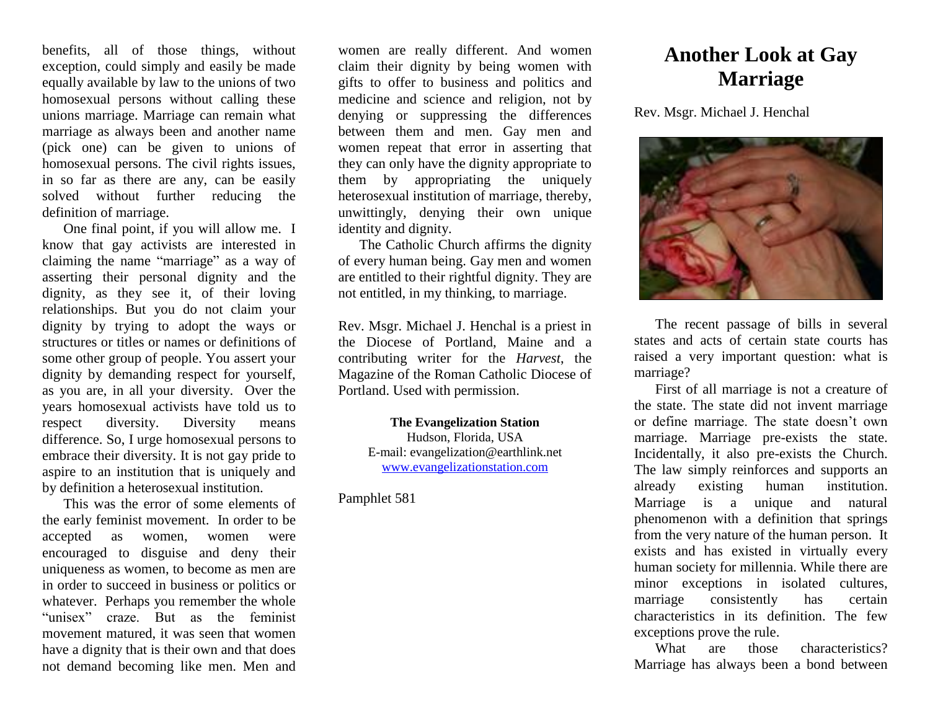benefits, all of those things, without exception, could simply and easily be made equally available by law to the unions of two homosexual persons without calling these unions marriage. Marriage can remain what marriage as always been and another name (pick one) can be given to unions of homosexual persons. The civil rights issues, in so far as there are any, can be easily solved without further reducing the definition of marriage.

One final point, if you will allow me. I know that gay activists are interested in claiming the name "marriage" as a way of asserting their personal dignity and the dignity, as they see it, of their loving relationships. But you do not claim your dignity by trying to adopt the ways or structures or titles or names or definitions of some other group of people. You assert your dignity by demanding respect for yourself, as you are, in all your diversity. Over the years homosexual activists have told us to respect diversity. Diversity means difference. So, I urge homosexual persons to embrace their diversity. It is not gay pride to aspire to an institution that is uniquely and by definition a heterosexual institution.

This was the error of some elements of the early feminist movement. In order to be accepted as women, women were encouraged to disguise and deny their uniqueness as women, to become as men are in order to succeed in business or politics or whatever. Perhaps you remember the whole "unisex" craze. But as the feminist movement matured, it was seen that women have a dignity that is their own and that does not demand becoming like men. Men and

women are really different. And women claim their dignity by being women with gifts to offer to business and politics and medicine and science and religion, not by denying or suppressing the differences between them and men. Gay men and women repeat that error in asserting that they can only have the dignity appropriate to them by appropriating the uniquely heterosexual institution of marriage, thereby, unwittingly, denying their own unique identity and dignity.

The Catholic Church affirms the dignity of every human being. Gay men and women are entitled to their rightful dignity. They are not entitled, in my thinking, to marriage.

Rev. Msgr. Michael J. Henchal is a priest in the Diocese of Portland, Maine and a contributing writer for the *Harvest*, the Magazine of the Roman Catholic Diocese of Portland. Used with permission.

> **The Evangelization Station** Hudson, Florida, USA E-mail: evangelization@earthlink.net [www.evangelizationstation.com](http://www.pjpiisoe.org/)

Pamphlet 581

## **Another Look at Gay Marriage**

Rev. Msgr. Michael J. Henchal



The recent passage of bills in several states and acts of certain state courts has raised a very important question: what is marriage?

First of all marriage is not a creature of the state. The state did not invent marriage or define marriage. The state doesn't own marriage. Marriage pre-exists the state. Incidentally, it also pre-exists the Church. The law simply reinforces and supports an already existing human institution. Marriage is a unique and natural phenomenon with a definition that springs from the very nature of the human person. It exists and has existed in virtually every human society for millennia. While there are minor exceptions in isolated cultures, marriage consistently has certain characteristics in its definition. The few exceptions prove the rule.

What are those characteristics? Marriage has always been a bond between